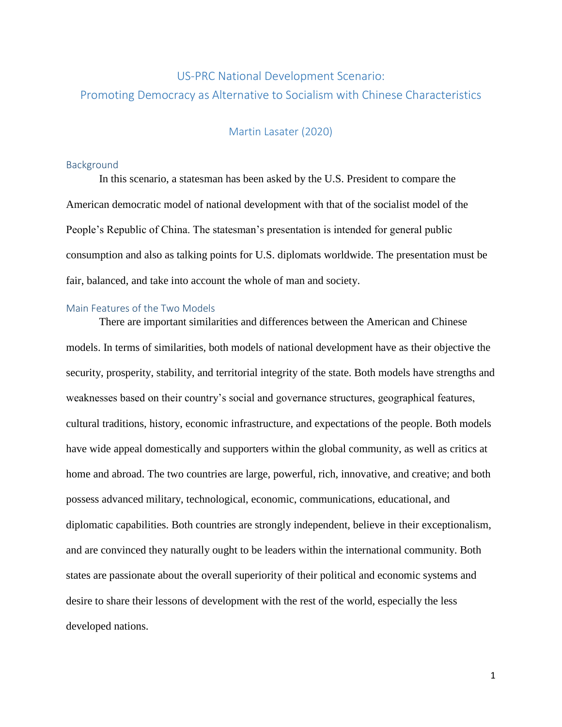# US-PRC National Development Scenario: Promoting Democracy as Alternative to Socialism with Chinese Characteristics

# Martin Lasater (2020)

#### **Background**

In this scenario, a statesman has been asked by the U.S. President to compare the American democratic model of national development with that of the socialist model of the People's Republic of China. The statesman's presentation is intended for general public consumption and also as talking points for U.S. diplomats worldwide. The presentation must be fair, balanced, and take into account the whole of man and society.

### Main Features of the Two Models

There are important similarities and differences between the American and Chinese models. In terms of similarities, both models of national development have as their objective the security, prosperity, stability, and territorial integrity of the state. Both models have strengths and weaknesses based on their country's social and governance structures, geographical features, cultural traditions, history, economic infrastructure, and expectations of the people. Both models have wide appeal domestically and supporters within the global community, as well as critics at home and abroad. The two countries are large, powerful, rich, innovative, and creative; and both possess advanced military, technological, economic, communications, educational, and diplomatic capabilities. Both countries are strongly independent, believe in their exceptionalism, and are convinced they naturally ought to be leaders within the international community. Both states are passionate about the overall superiority of their political and economic systems and desire to share their lessons of development with the rest of the world, especially the less developed nations.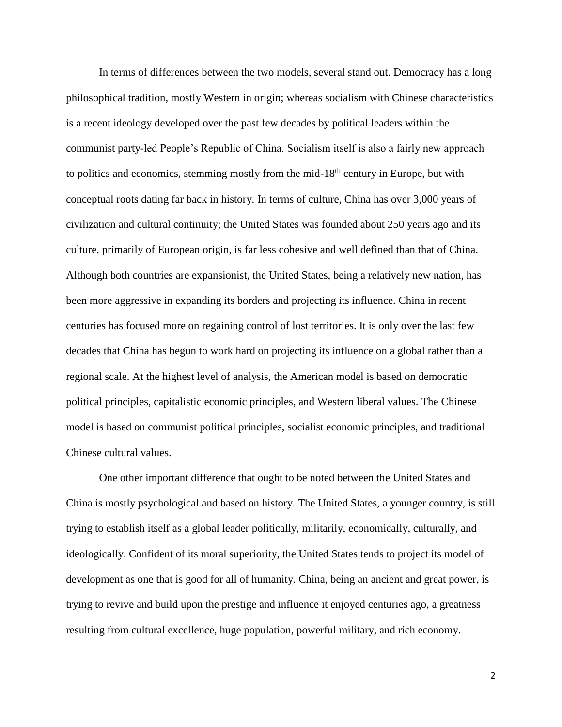In terms of differences between the two models, several stand out. Democracy has a long philosophical tradition, mostly Western in origin; whereas socialism with Chinese characteristics is a recent ideology developed over the past few decades by political leaders within the communist party-led People's Republic of China. Socialism itself is also a fairly new approach to politics and economics, stemming mostly from the mid-18<sup>th</sup> century in Europe, but with conceptual roots dating far back in history. In terms of culture, China has over 3,000 years of civilization and cultural continuity; the United States was founded about 250 years ago and its culture, primarily of European origin, is far less cohesive and well defined than that of China. Although both countries are expansionist, the United States, being a relatively new nation, has been more aggressive in expanding its borders and projecting its influence. China in recent centuries has focused more on regaining control of lost territories. It is only over the last few decades that China has begun to work hard on projecting its influence on a global rather than a regional scale. At the highest level of analysis, the American model is based on democratic political principles, capitalistic economic principles, and Western liberal values. The Chinese model is based on communist political principles, socialist economic principles, and traditional Chinese cultural values.

One other important difference that ought to be noted between the United States and China is mostly psychological and based on history. The United States, a younger country, is still trying to establish itself as a global leader politically, militarily, economically, culturally, and ideologically. Confident of its moral superiority, the United States tends to project its model of development as one that is good for all of humanity. China, being an ancient and great power, is trying to revive and build upon the prestige and influence it enjoyed centuries ago, a greatness resulting from cultural excellence, huge population, powerful military, and rich economy.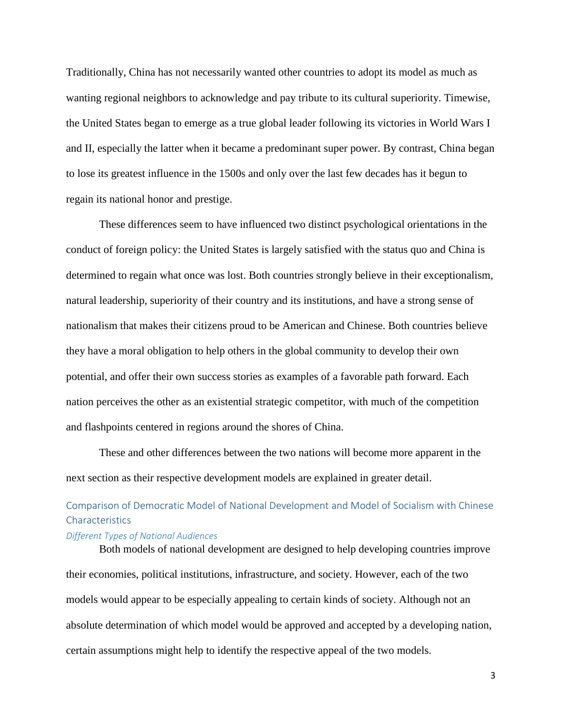Traditionally, China has not necessarily wanted other countries to adopt its model as much as wanting regional neighbors to acknowledge and pay tribute to its cultural superiority. Timewise, the United States began to emerge as a true global leader following its victories in World Wars I and II, especially the latter when it became a predominant super power. By contrast, China began to lose its greatest influence in the 1500s and only over the last few decades has it begun to regain its national honor and prestige.

These differences seem to have influenced two distinct psychological orientations in the conduct of foreign policy: the United States is largely satisfied with the status quo and China is determined to regain what once was lost. Both countries strongly believe in their exceptionalism, natural leadership, superiority of their country and its institutions, and have a strong sense of nationalism that makes their citizens proud to be American and Chinese. Both countries believe they have a moral obligation to help others in the global community to develop their own potential, and offer their own success stories as examples of a favorable path forward. Each nation perceives the other as an existential strategic competitor, with much of the competition and flashpoints centered in regions around the shores of China.

These and other differences between the two nations will become more apparent in the next section as their respective development models are explained in greater detail.

# Comparison of Democratic Model of National Development and Model of Socialism with Chinese **Characteristics**

# *Different Types of National Audiences*

Both models of national development are designed to help developing countries improve their economies, political institutions, infrastructure, and society. However, each of the two models would appear to be especially appealing to certain kinds of society. Although not an absolute determination of which model would be approved and accepted by a developing nation, certain assumptions might help to identify the respective appeal of the two models.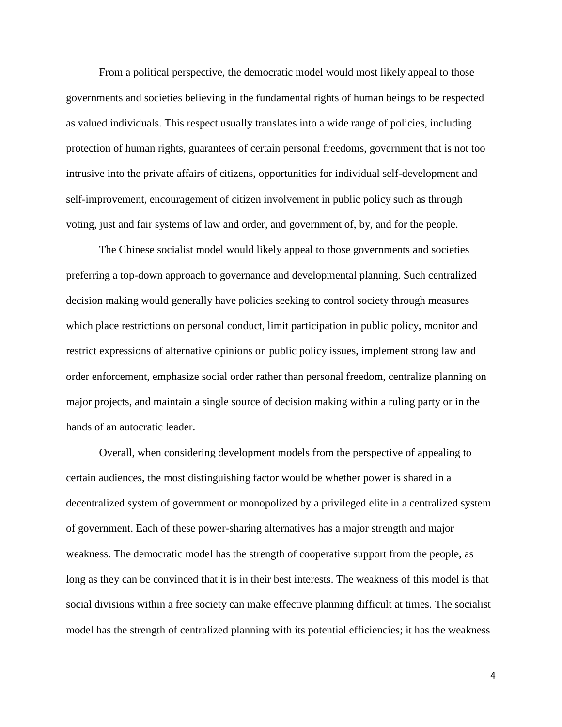From a political perspective, the democratic model would most likely appeal to those governments and societies believing in the fundamental rights of human beings to be respected as valued individuals. This respect usually translates into a wide range of policies, including protection of human rights, guarantees of certain personal freedoms, government that is not too intrusive into the private affairs of citizens, opportunities for individual self-development and self-improvement, encouragement of citizen involvement in public policy such as through voting, just and fair systems of law and order, and government of, by, and for the people.

The Chinese socialist model would likely appeal to those governments and societies preferring a top-down approach to governance and developmental planning. Such centralized decision making would generally have policies seeking to control society through measures which place restrictions on personal conduct, limit participation in public policy, monitor and restrict expressions of alternative opinions on public policy issues, implement strong law and order enforcement, emphasize social order rather than personal freedom, centralize planning on major projects, and maintain a single source of decision making within a ruling party or in the hands of an autocratic leader.

Overall, when considering development models from the perspective of appealing to certain audiences, the most distinguishing factor would be whether power is shared in a decentralized system of government or monopolized by a privileged elite in a centralized system of government. Each of these power-sharing alternatives has a major strength and major weakness. The democratic model has the strength of cooperative support from the people, as long as they can be convinced that it is in their best interests. The weakness of this model is that social divisions within a free society can make effective planning difficult at times. The socialist model has the strength of centralized planning with its potential efficiencies; it has the weakness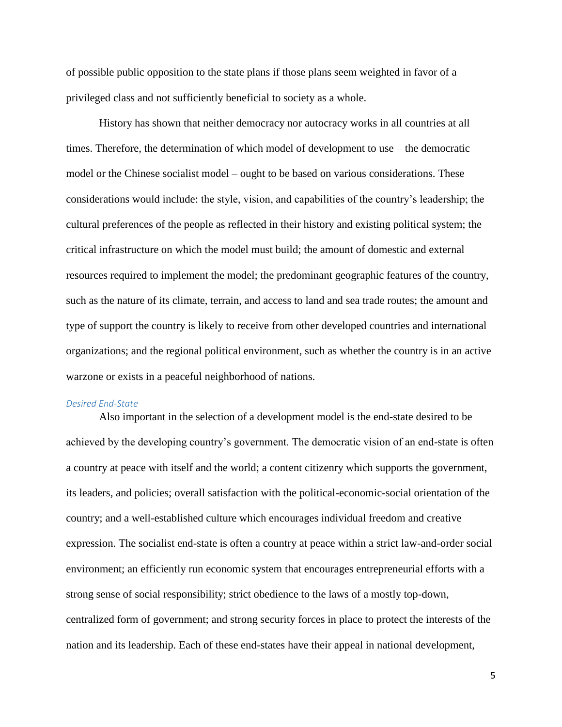of possible public opposition to the state plans if those plans seem weighted in favor of a privileged class and not sufficiently beneficial to society as a whole.

History has shown that neither democracy nor autocracy works in all countries at all times. Therefore, the determination of which model of development to use – the democratic model or the Chinese socialist model – ought to be based on various considerations. These considerations would include: the style, vision, and capabilities of the country's leadership; the cultural preferences of the people as reflected in their history and existing political system; the critical infrastructure on which the model must build; the amount of domestic and external resources required to implement the model; the predominant geographic features of the country, such as the nature of its climate, terrain, and access to land and sea trade routes; the amount and type of support the country is likely to receive from other developed countries and international organizations; and the regional political environment, such as whether the country is in an active warzone or exists in a peaceful neighborhood of nations.

#### *Desired End-State*

Also important in the selection of a development model is the end-state desired to be achieved by the developing country's government. The democratic vision of an end-state is often a country at peace with itself and the world; a content citizenry which supports the government, its leaders, and policies; overall satisfaction with the political-economic-social orientation of the country; and a well-established culture which encourages individual freedom and creative expression. The socialist end-state is often a country at peace within a strict law-and-order social environment; an efficiently run economic system that encourages entrepreneurial efforts with a strong sense of social responsibility; strict obedience to the laws of a mostly top-down, centralized form of government; and strong security forces in place to protect the interests of the nation and its leadership. Each of these end-states have their appeal in national development,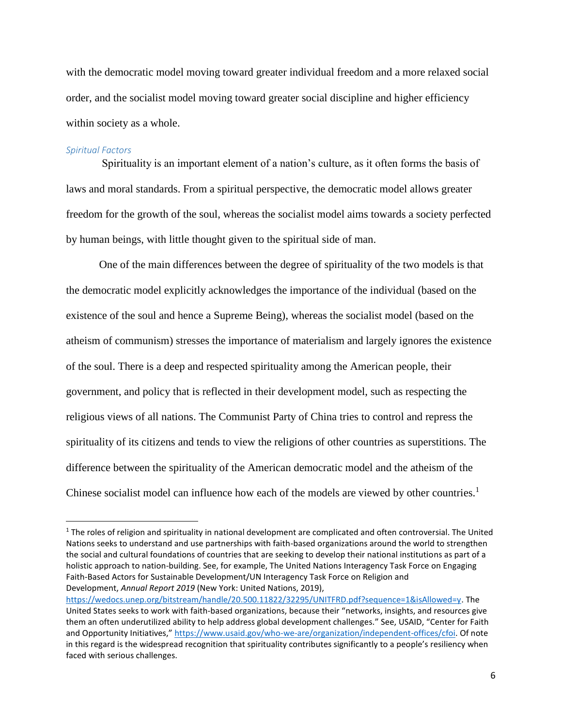with the democratic model moving toward greater individual freedom and a more relaxed social order, and the socialist model moving toward greater social discipline and higher efficiency within society as a whole.

#### *Spiritual Factors*

 $\overline{\phantom{a}}$ 

Spirituality is an important element of a nation's culture, as it often forms the basis of laws and moral standards. From a spiritual perspective, the democratic model allows greater freedom for the growth of the soul, whereas the socialist model aims towards a society perfected by human beings, with little thought given to the spiritual side of man.

One of the main differences between the degree of spirituality of the two models is that the democratic model explicitly acknowledges the importance of the individual (based on the existence of the soul and hence a Supreme Being), whereas the socialist model (based on the atheism of communism) stresses the importance of materialism and largely ignores the existence of the soul. There is a deep and respected spirituality among the American people, their government, and policy that is reflected in their development model, such as respecting the religious views of all nations. The Communist Party of China tries to control and repress the spirituality of its citizens and tends to view the religions of other countries as superstitions. The difference between the spirituality of the American democratic model and the atheism of the Chinese socialist model can influence how each of the models are viewed by other countries.<sup>1</sup>

<sup>&</sup>lt;sup>1</sup> The roles of religion and spirituality in national development are complicated and often controversial. The United Nations seeks to understand and use partnerships with faith-based organizations around the world to strengthen the social and cultural foundations of countries that are seeking to develop their national institutions as part of a holistic approach to nation-building. See, for example, The United Nations Interagency Task Force on Engaging Faith-Based Actors for Sustainable Development/UN Interagency Task Force on Religion and Development, *Annual Report 2019* (New York: United Nations, 2019),

[https://wedocs.unep.org/bitstream/handle/20.500.11822/32295/UNITFRD.pdf?sequence=1&isAllowed=y.](https://wedocs.unep.org/bitstream/handle/20.500.11822/32295/UNITFRD.pdf?sequence=1&isAllowed=y) The United States seeks to work with faith-based organizations, because their "networks, insights, and resources give them an often underutilized ability to help address global development challenges." See, USAID, "Center for Faith and Opportunity Initiatives," [https://www.usaid.gov/who-we-are/organization/independent-offices/cfoi.](https://www.usaid.gov/who-we-are/organization/independent-offices/cfoi) Of note in this regard is the widespread recognition that spirituality contributes significantly to a people's resiliency when faced with serious challenges.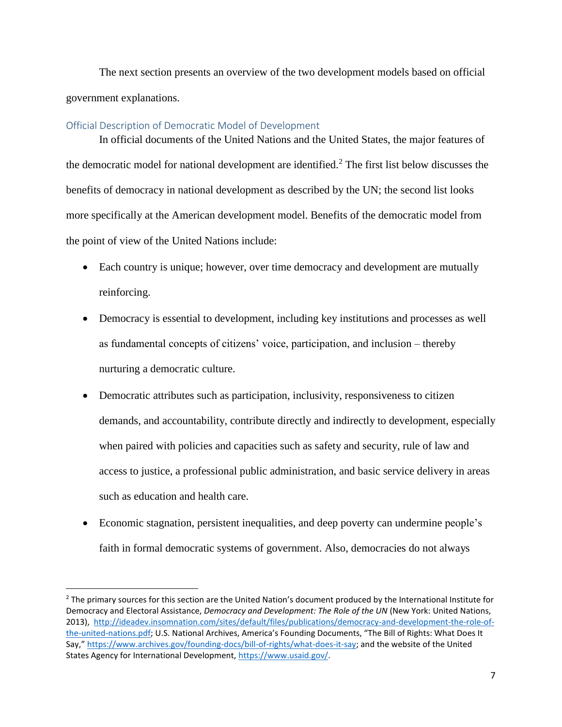The next section presents an overview of the two development models based on official government explanations.

### Official Description of Democratic Model of Development

 $\overline{a}$ 

In official documents of the United Nations and the United States, the major features of the democratic model for national development are identified.<sup>2</sup> The first list below discusses the benefits of democracy in national development as described by the UN; the second list looks more specifically at the American development model. Benefits of the democratic model from the point of view of the United Nations include:

- Each country is unique; however, over time democracy and development are mutually reinforcing.
- Democracy is essential to development, including key institutions and processes as well as fundamental concepts of citizens' voice, participation, and inclusion – thereby nurturing a democratic culture.
- Democratic attributes such as participation, inclusivity, responsiveness to citizen demands, and accountability, contribute directly and indirectly to development, especially when paired with policies and capacities such as safety and security, rule of law and access to justice, a professional public administration, and basic service delivery in areas such as education and health care.
- Economic stagnation, persistent inequalities, and deep poverty can undermine people's faith in formal democratic systems of government. Also, democracies do not always

<sup>&</sup>lt;sup>2</sup> The primary sources for this section are the United Nation's document produced by the International Institute for Democracy and Electoral Assistance, *Democracy and Development: The Role of the UN* (New York: United Nations, 2013), [http://ideadev.insomnation.com/sites/default/files/publications/democracy-and-development-the-role-of](http://ideadev.insomnation.com/sites/default/files/publications/democracy-and-development-the-role-of-the-united-nations.pdf)[the-united-nations.pdf](http://ideadev.insomnation.com/sites/default/files/publications/democracy-and-development-the-role-of-the-united-nations.pdf); U.S. National Archives, America's Founding Documents, "The Bill of Rights: What Does It Say," [https://www.archives.gov/founding-docs/bill-of-rights/what-does-it-say;](https://www.archives.gov/founding-docs/bill-of-rights/what-does-it-say) and the website of the United States Agency for International Development, [https://www.usaid.gov/.](https://www.usaid.gov/)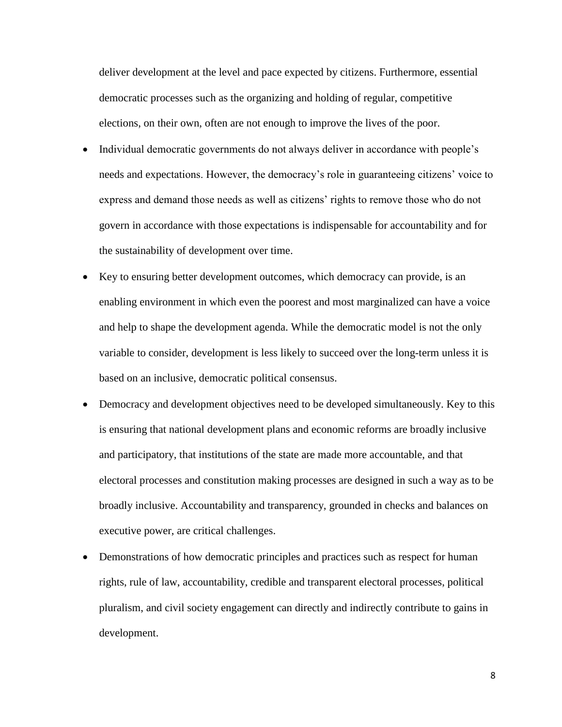deliver development at the level and pace expected by citizens. Furthermore, essential democratic processes such as the organizing and holding of regular, competitive elections, on their own, often are not enough to improve the lives of the poor.

- Individual democratic governments do not always deliver in accordance with people's needs and expectations. However, the democracy's role in guaranteeing citizens' voice to express and demand those needs as well as citizens' rights to remove those who do not govern in accordance with those expectations is indispensable for accountability and for the sustainability of development over time.
- Key to ensuring better development outcomes, which democracy can provide, is an enabling environment in which even the poorest and most marginalized can have a voice and help to shape the development agenda. While the democratic model is not the only variable to consider, development is less likely to succeed over the long-term unless it is based on an inclusive, democratic political consensus.
- Democracy and development objectives need to be developed simultaneously. Key to this is ensuring that national development plans and economic reforms are broadly inclusive and participatory, that institutions of the state are made more accountable, and that electoral processes and constitution making processes are designed in such a way as to be broadly inclusive. Accountability and transparency, grounded in checks and balances on executive power, are critical challenges.
- Demonstrations of how democratic principles and practices such as respect for human rights, rule of law, accountability, credible and transparent electoral processes, political pluralism, and civil society engagement can directly and indirectly contribute to gains in development.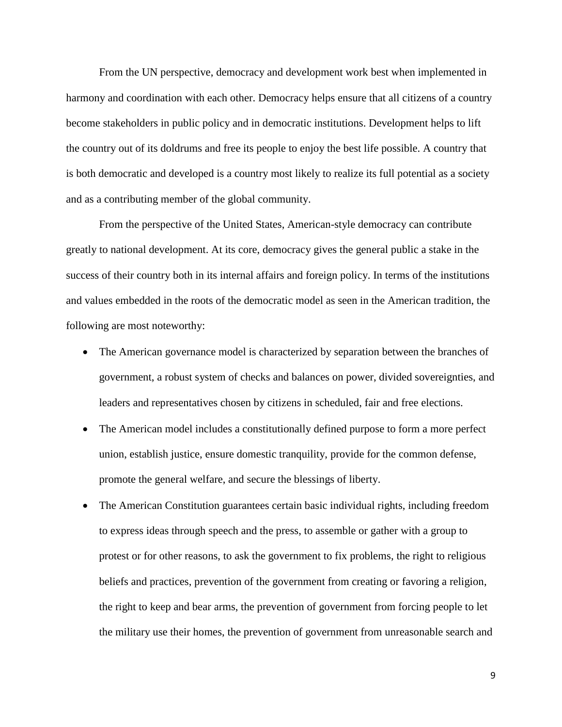From the UN perspective, democracy and development work best when implemented in harmony and coordination with each other. Democracy helps ensure that all citizens of a country become stakeholders in public policy and in democratic institutions. Development helps to lift the country out of its doldrums and free its people to enjoy the best life possible. A country that is both democratic and developed is a country most likely to realize its full potential as a society and as a contributing member of the global community.

From the perspective of the United States, American-style democracy can contribute greatly to national development. At its core, democracy gives the general public a stake in the success of their country both in its internal affairs and foreign policy. In terms of the institutions and values embedded in the roots of the democratic model as seen in the American tradition, the following are most noteworthy:

- The American governance model is characterized by separation between the branches of government, a robust system of checks and balances on power, divided sovereignties, and leaders and representatives chosen by citizens in scheduled, fair and free elections.
- The American model includes a constitutionally defined purpose to form a more perfect union, establish justice, ensure domestic tranquility, provide for the common defense, promote the general welfare, and secure the blessings of liberty.
- The American Constitution guarantees certain basic individual rights, including freedom to express ideas through speech and the press, to assemble or gather with a group to protest or for other reasons, to ask the government to fix problems, the right to religious beliefs and practices, prevention of the government from creating or favoring a religion, the right to keep and bear arms, the prevention of government from forcing people to let the military use their homes, the prevention of government from unreasonable search and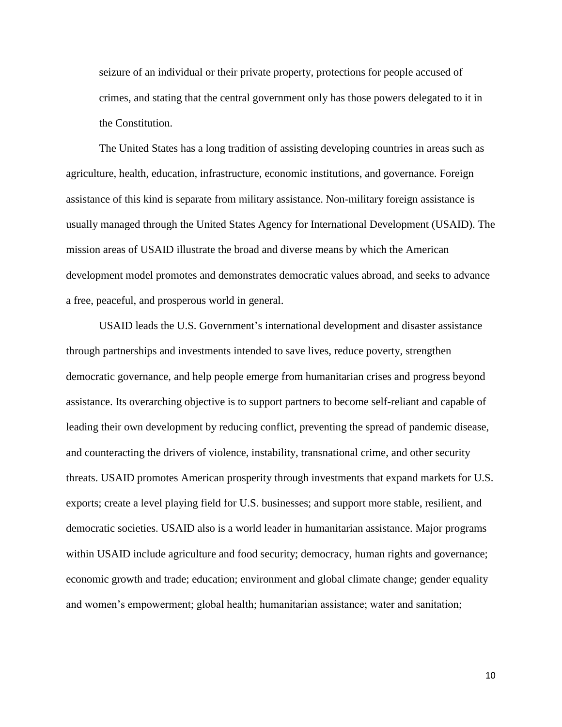seizure of an individual or their private property, protections for people accused of crimes, and stating that the central government only has those powers delegated to it in the Constitution.

The United States has a long tradition of assisting developing countries in areas such as agriculture, health, education, infrastructure, economic institutions, and governance. Foreign assistance of this kind is separate from military assistance. Non-military foreign assistance is usually managed through the United States Agency for International Development (USAID). The mission areas of USAID illustrate the broad and diverse means by which the American development model promotes and demonstrates democratic values abroad, and seeks to advance a free, peaceful, and prosperous world in general.

USAID leads the U.S. Government's international development and disaster assistance through partnerships and investments intended to save lives, reduce poverty, strengthen democratic governance, and help people emerge from humanitarian crises and progress beyond assistance. Its overarching objective is to support partners to become self-reliant and capable of leading their own development by reducing conflict, preventing the spread of pandemic disease, and counteracting the drivers of violence, instability, transnational crime, and other security threats. USAID promotes American prosperity through investments that expand markets for U.S. exports; create a level playing field for U.S. businesses; and support more stable, resilient, and democratic societies. USAID also is a world leader in humanitarian assistance. Major programs within USAID include agriculture and food security; democracy, human rights and governance; economic growth and trade; education; environment and global climate change; gender equality and women's empowerment; global health; humanitarian assistance; water and sanitation;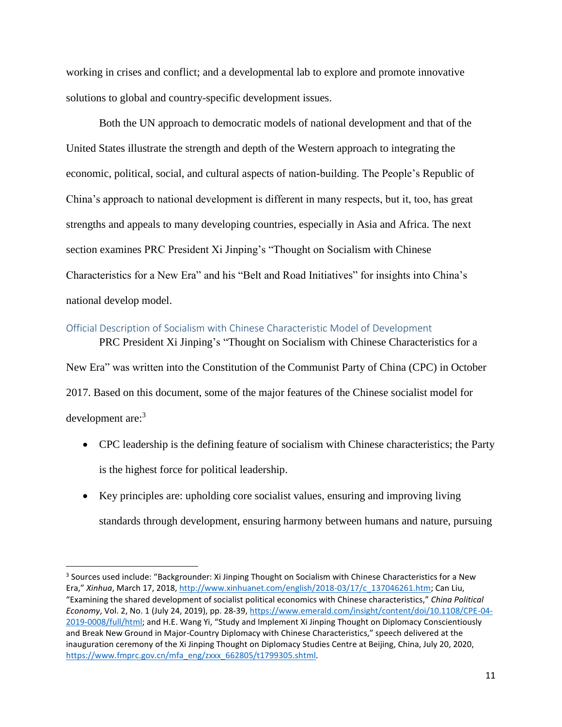working in crises and conflict; and a developmental lab to explore and promote innovative solutions to global and country-specific development issues.

Both the UN approach to democratic models of national development and that of the United States illustrate the strength and depth of the Western approach to integrating the economic, political, social, and cultural aspects of nation-building. The People's Republic of China's approach to national development is different in many respects, but it, too, has great strengths and appeals to many developing countries, especially in Asia and Africa. The next section examines PRC President Xi Jinping's "Thought on Socialism with Chinese Characteristics for a New Era" and his "Belt and Road Initiatives" for insights into China's national develop model.

# Official Description of Socialism with Chinese Characteristic Model of Development

PRC President Xi Jinping's "Thought on Socialism with Chinese Characteristics for a New Era" was written into the Constitution of the Communist Party of China (CPC) in October 2017. Based on this document, some of the major features of the Chinese socialist model for development are:<sup>3</sup>

- CPC leadership is the defining feature of socialism with Chinese characteristics; the Party is the highest force for political leadership.
- Key principles are: upholding core socialist values, ensuring and improving living standards through development, ensuring harmony between humans and nature, pursuing

 $\overline{\phantom{a}}$ 

<sup>&</sup>lt;sup>3</sup> Sources used include: "Backgrounder: Xi Jinping Thought on Socialism with Chinese Characteristics for a New Era," *Xinhua*, March 17, 2018[, http://www.xinhuanet.com/english/2018-03/17/c\\_137046261.htm;](http://www.xinhuanet.com/english/2018-03/17/c_137046261.htm) Can Liu, "Examining the shared development of socialist political economics with Chinese characteristics," *China Political Economy*, Vol. 2, No. 1 (July 24, 2019), pp. 28-39, [https://www.emerald.com/insight/content/doi/10.1108/CPE-04-](https://www.emerald.com/insight/content/doi/10.1108/CPE-04-2019-0008/full/html) [2019-0008/full/html;](https://www.emerald.com/insight/content/doi/10.1108/CPE-04-2019-0008/full/html) and H.E. Wang Yi, "Study and Implement Xi Jinping Thought on Diplomacy Conscientiously and Break New Ground in Major-Country Diplomacy with Chinese Characteristics," speech delivered at the inauguration ceremony of the Xi Jinping Thought on Diplomacy Studies Centre at Beijing, China, July 20, 2020, [https://www.fmprc.gov.cn/mfa\\_eng/zxxx\\_662805/t1799305.shtml.](https://www.fmprc.gov.cn/mfa_eng/zxxx_662805/t1799305.shtml)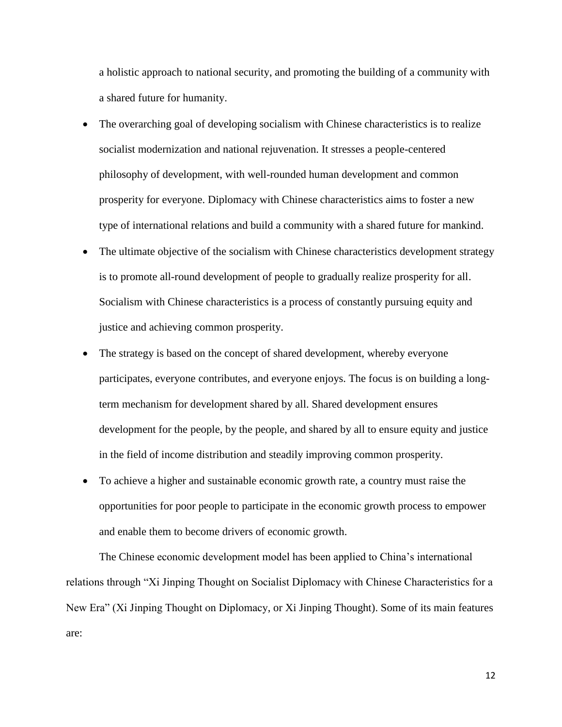a holistic approach to national security, and promoting the building of a community with a shared future for humanity.

- The overarching goal of developing socialism with Chinese characteristics is to realize socialist modernization and national rejuvenation. It stresses a people-centered philosophy of development, with well-rounded human development and common prosperity for everyone. Diplomacy with Chinese characteristics aims to foster a new type of international relations and build a community with a shared future for mankind.
- The ultimate objective of the socialism with Chinese characteristics development strategy is to promote all-round development of people to gradually realize prosperity for all. Socialism with Chinese characteristics is a process of constantly pursuing equity and justice and achieving common prosperity.
- The strategy is based on the concept of shared development, whereby everyone participates, everyone contributes, and everyone enjoys. The focus is on building a longterm mechanism for development shared by all. Shared development ensures development for the people, by the people, and shared by all to ensure equity and justice in the field of income distribution and steadily improving common prosperity.
- To achieve a higher and sustainable economic growth rate, a country must raise the opportunities for poor people to participate in the economic growth process to empower and enable them to become drivers of economic growth.

The Chinese economic development model has been applied to China's international relations through "Xi Jinping Thought on Socialist Diplomacy with Chinese Characteristics for a New Era" (Xi Jinping Thought on Diplomacy, or Xi Jinping Thought). Some of its main features are: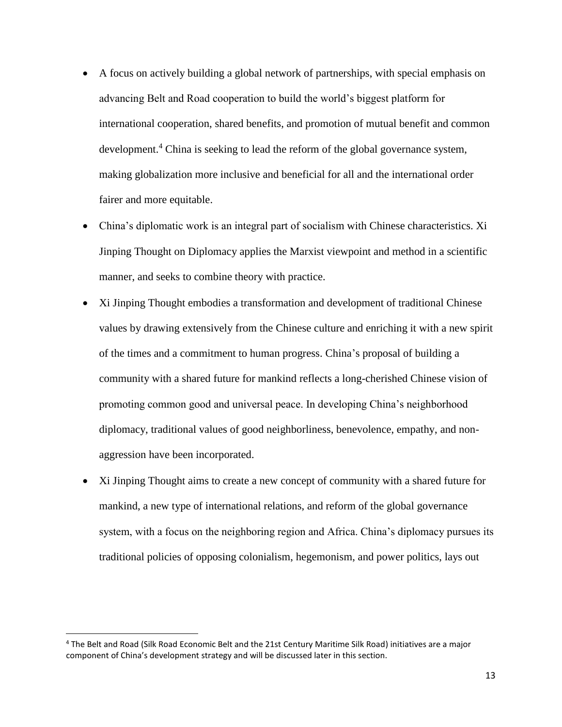- A focus on actively building a global network of partnerships, with special emphasis on advancing Belt and Road cooperation to build the world's biggest platform for international cooperation, shared benefits, and promotion of mutual benefit and common development.<sup>4</sup> China is seeking to lead the reform of the global governance system, making globalization more inclusive and beneficial for all and the international order fairer and more equitable.
- China's diplomatic work is an integral part of socialism with Chinese characteristics. Xi Jinping Thought on Diplomacy applies the Marxist viewpoint and method in a scientific manner, and seeks to combine theory with practice.
- Xi Jinping Thought embodies a transformation and development of traditional Chinese values by drawing extensively from the Chinese culture and enriching it with a new spirit of the times and a commitment to human progress. China's proposal of building a community with a shared future for mankind reflects a long-cherished Chinese vision of promoting common good and universal peace. In developing China's neighborhood diplomacy, traditional values of good neighborliness, benevolence, empathy, and nonaggression have been incorporated.
- Xi Jinping Thought aims to create a new concept of community with a shared future for mankind, a new type of international relations, and reform of the global governance system, with a focus on the neighboring region and Africa. China's diplomacy pursues its traditional policies of opposing colonialism, hegemonism, and power politics, lays out

l

<sup>4</sup> The Belt and Road (Silk Road Economic Belt and the 21st Century Maritime Silk Road) initiatives are a major component of China's development strategy and will be discussed later in this section.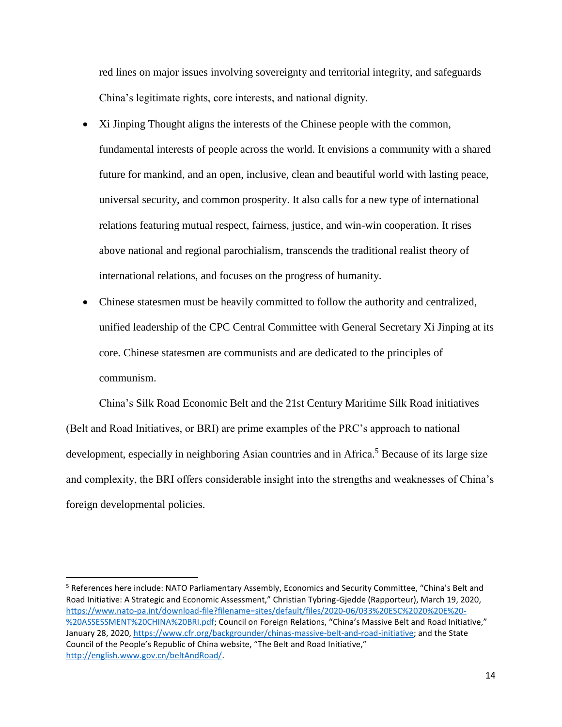red lines on major issues involving sovereignty and territorial integrity, and safeguards China's legitimate rights, core interests, and national dignity.

- Xi Jinping Thought aligns the interests of the Chinese people with the common, fundamental interests of people across the world. It envisions a community with a shared future for mankind, and an open, inclusive, clean and beautiful world with lasting peace, universal security, and common prosperity. It also calls for a new type of international relations featuring mutual respect, fairness, justice, and win-win cooperation. It rises above national and regional parochialism, transcends the traditional realist theory of international relations, and focuses on the progress of humanity.
- Chinese statesmen must be heavily committed to follow the authority and centralized, unified leadership of the CPC Central Committee with General Secretary Xi Jinping at its core. Chinese statesmen are communists and are dedicated to the principles of communism.

China's Silk Road Economic Belt and the 21st Century Maritime Silk Road initiatives (Belt and Road Initiatives, or BRI) are prime examples of the PRC's approach to national development, especially in neighboring Asian countries and in Africa.<sup>5</sup> Because of its large size and complexity, the BRI offers considerable insight into the strengths and weaknesses of China's foreign developmental policies.

 $\overline{\phantom{a}}$ 

<sup>5</sup> References here include: NATO Parliamentary Assembly, Economics and Security Committee, "China's Belt and Road Initiative: A Strategic and Economic Assessment," Christian Tybring-Gjedde (Rapporteur), March 19, 2020, [https://www.nato-pa.int/download-file?filename=sites/default/files/2020-06/033%20ESC%2020%20E%20-](https://www.nato-pa.int/download-file?filename=sites/default/files/2020-06/033%20ESC%2020%20E%20-%20ASSESSMENT%20CHINA%20BRI.pdf) [%20ASSESSMENT%20CHINA%20BRI.pdf](https://www.nato-pa.int/download-file?filename=sites/default/files/2020-06/033%20ESC%2020%20E%20-%20ASSESSMENT%20CHINA%20BRI.pdf); Council on Foreign Relations, "China's Massive Belt and Road Initiative," January 28, 2020[, https://www.cfr.org/backgrounder/chinas-massive-belt-and-road-initiative;](https://www.cfr.org/backgrounder/chinas-massive-belt-and-road-initiative) and the State Council of the People's Republic of China website, "The Belt and Road Initiative," [http://english.www.gov.cn/beltAndRoad/.](http://english.www.gov.cn/beltAndRoad/)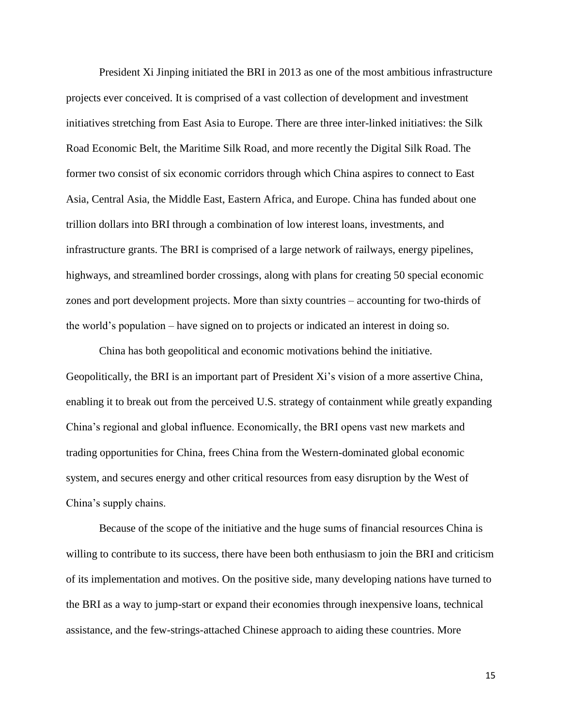President Xi Jinping initiated the BRI in 2013 as one of the most ambitious infrastructure projects ever conceived. It is comprised of a vast collection of development and investment initiatives stretching from East Asia to Europe. There are three inter-linked initiatives: the Silk Road Economic Belt, the Maritime Silk Road, and more recently the Digital Silk Road. The former two consist of six economic corridors through which China aspires to connect to East Asia, Central Asia, the Middle East, Eastern Africa, and Europe. China has funded about one trillion dollars into BRI through a combination of low interest loans, investments, and infrastructure grants. The BRI is comprised of a large network of railways, energy pipelines, highways, and streamlined border crossings, along with plans for creating 50 special economic zones and port development projects. More than sixty countries – accounting for two-thirds of the world's population – have signed on to projects or indicated an interest in doing so.

China has both geopolitical and economic motivations behind the initiative. Geopolitically, the BRI is an important part of President Xi's vision of a more assertive China, enabling it to break out from the perceived U.S. strategy of containment while greatly expanding China's regional and global influence. Economically, the BRI opens vast new markets and trading opportunities for China, frees China from the Western-dominated global economic system, and secures energy and other critical resources from easy disruption by the West of China's supply chains.

Because of the scope of the initiative and the huge sums of financial resources China is willing to contribute to its success, there have been both enthusiasm to join the BRI and criticism of its implementation and motives. On the positive side, many developing nations have turned to the BRI as a way to jump-start or expand their economies through inexpensive loans, technical assistance, and the few-strings-attached Chinese approach to aiding these countries. More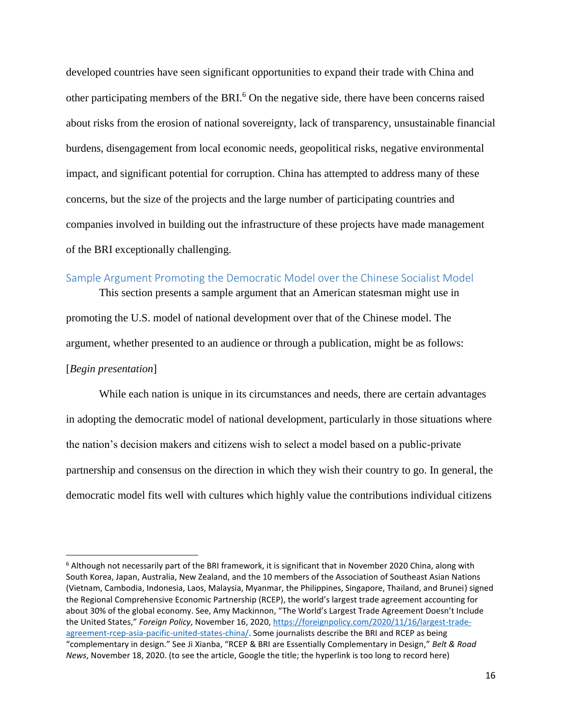developed countries have seen significant opportunities to expand their trade with China and other participating members of the BRI.<sup>6</sup> On the negative side, there have been concerns raised about risks from the erosion of national sovereignty, lack of transparency, unsustainable financial burdens, disengagement from local economic needs, geopolitical risks, negative environmental impact, and significant potential for corruption. China has attempted to address many of these concerns, but the size of the projects and the large number of participating countries and companies involved in building out the infrastructure of these projects have made management of the BRI exceptionally challenging.

## Sample Argument Promoting the Democratic Model over the Chinese Socialist Model

This section presents a sample argument that an American statesman might use in promoting the U.S. model of national development over that of the Chinese model. The argument, whether presented to an audience or through a publication, might be as follows: [*Begin presentation*]

While each nation is unique in its circumstances and needs, there are certain advantages in adopting the democratic model of national development, particularly in those situations where the nation's decision makers and citizens wish to select a model based on a public-private partnership and consensus on the direction in which they wish their country to go. In general, the democratic model fits well with cultures which highly value the contributions individual citizens

 $\overline{\phantom{a}}$ 

<sup>6</sup> Although not necessarily part of the BRI framework, it is significant that in November 2020 China, along with South Korea, Japan, Australia, New Zealand, and the 10 members of the Association of Southeast Asian Nations (Vietnam, Cambodia, Indonesia, Laos, Malaysia, Myanmar, the Philippines, Singapore, Thailand, and Brunei) signed the Regional Comprehensive Economic Partnership (RCEP), the world's largest trade agreement accounting for about 30% of the global economy. See, Amy Mackinnon, "The World's Largest Trade Agreement Doesn't Include the United States," *Foreign Policy*, November 16, 2020[, https://foreignpolicy.com/2020/11/16/largest-trade](https://foreignpolicy.com/2020/11/16/largest-trade-agreement-rcep-asia-pacific-united-states-china/)[agreement-rcep-asia-pacific-united-states-china/.](https://foreignpolicy.com/2020/11/16/largest-trade-agreement-rcep-asia-pacific-united-states-china/) Some journalists describe the BRI and RCEP as being "complementary in design." See Ji Xianba, "RCEP & BRI are Essentially Complementary in Design," *Belt & Road News*, November 18, 2020. (to see the article, Google the title; the hyperlink is too long to record here)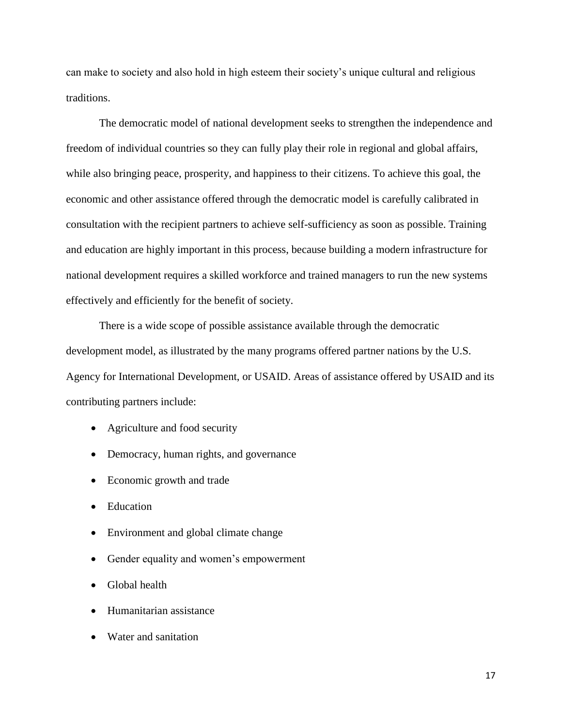can make to society and also hold in high esteem their society's unique cultural and religious traditions.

The democratic model of national development seeks to strengthen the independence and freedom of individual countries so they can fully play their role in regional and global affairs, while also bringing peace, prosperity, and happiness to their citizens. To achieve this goal, the economic and other assistance offered through the democratic model is carefully calibrated in consultation with the recipient partners to achieve self-sufficiency as soon as possible. Training and education are highly important in this process, because building a modern infrastructure for national development requires a skilled workforce and trained managers to run the new systems effectively and efficiently for the benefit of society.

There is a wide scope of possible assistance available through the democratic development model, as illustrated by the many programs offered partner nations by the U.S. Agency for International Development, or USAID. Areas of assistance offered by USAID and its contributing partners include:

- Agriculture and food security
- Democracy, human rights, and governance
- Economic growth and trade
- Education
- Environment and global climate change
- Gender equality and women's empowerment
- Global health
- Humanitarian assistance
- Water and sanitation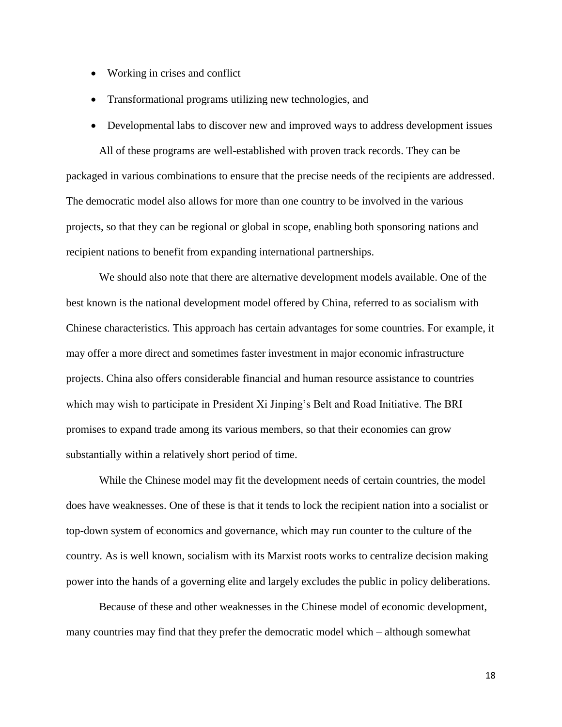- Working in crises and conflict
- Transformational programs utilizing new technologies, and
- Developmental labs to discover new and improved ways to address development issues

All of these programs are well-established with proven track records. They can be packaged in various combinations to ensure that the precise needs of the recipients are addressed. The democratic model also allows for more than one country to be involved in the various projects, so that they can be regional or global in scope, enabling both sponsoring nations and recipient nations to benefit from expanding international partnerships.

We should also note that there are alternative development models available. One of the best known is the national development model offered by China, referred to as socialism with Chinese characteristics. This approach has certain advantages for some countries. For example, it may offer a more direct and sometimes faster investment in major economic infrastructure projects. China also offers considerable financial and human resource assistance to countries which may wish to participate in President Xi Jinping's Belt and Road Initiative. The BRI promises to expand trade among its various members, so that their economies can grow substantially within a relatively short period of time.

While the Chinese model may fit the development needs of certain countries, the model does have weaknesses. One of these is that it tends to lock the recipient nation into a socialist or top-down system of economics and governance, which may run counter to the culture of the country. As is well known, socialism with its Marxist roots works to centralize decision making power into the hands of a governing elite and largely excludes the public in policy deliberations.

Because of these and other weaknesses in the Chinese model of economic development, many countries may find that they prefer the democratic model which – although somewhat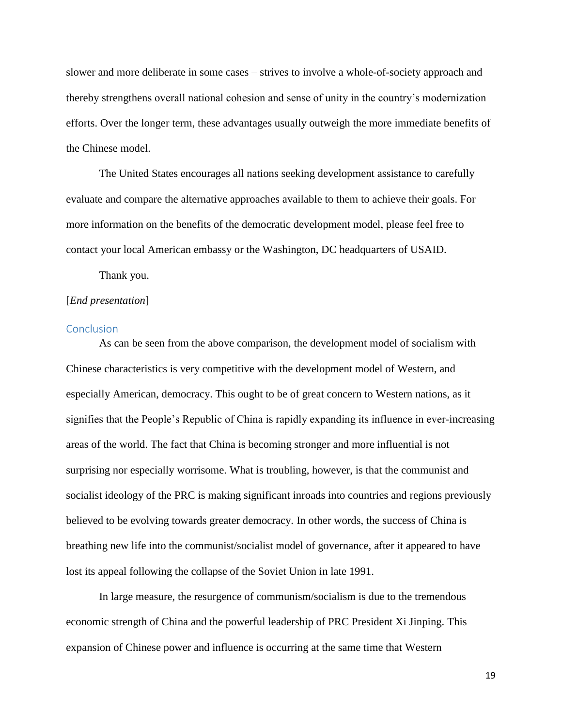slower and more deliberate in some cases – strives to involve a whole-of-society approach and thereby strengthens overall national cohesion and sense of unity in the country's modernization efforts. Over the longer term, these advantages usually outweigh the more immediate benefits of the Chinese model.

The United States encourages all nations seeking development assistance to carefully evaluate and compare the alternative approaches available to them to achieve their goals. For more information on the benefits of the democratic development model, please feel free to contact your local American embassy or the Washington, DC headquarters of USAID.

Thank you.

#### [*End presentation*]

## **Conclusion**

As can be seen from the above comparison, the development model of socialism with Chinese characteristics is very competitive with the development model of Western, and especially American, democracy. This ought to be of great concern to Western nations, as it signifies that the People's Republic of China is rapidly expanding its influence in ever-increasing areas of the world. The fact that China is becoming stronger and more influential is not surprising nor especially worrisome. What is troubling, however, is that the communist and socialist ideology of the PRC is making significant inroads into countries and regions previously believed to be evolving towards greater democracy. In other words, the success of China is breathing new life into the communist/socialist model of governance, after it appeared to have lost its appeal following the collapse of the Soviet Union in late 1991.

In large measure, the resurgence of communism/socialism is due to the tremendous economic strength of China and the powerful leadership of PRC President Xi Jinping. This expansion of Chinese power and influence is occurring at the same time that Western